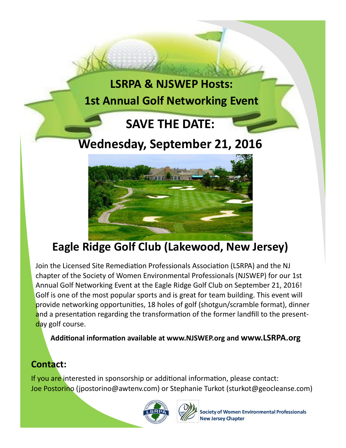



## **Eagle Ridge Golf Club (Lakewood, New Jersey)**

Join the Licensed Site Remediation Professionals Association (LSRPA) and the NJ chapter of the Society of Women Environmental Professionals (NJSWEP) for our 1st Annual Golf Networking Event at the Eagle Ridge Golf Club on September 21, 2016! Golf is one of the most popular sports and is great for team building. This event will provide networking opportunities, 18 holes of golf (shotgun/scramble format), dinner and a presentation regarding the transformation of the former landfill to the presentday golf course.

**Additional information available at www.NJSWEP.org and www.LSRPA.org** 

#### **Contact:**

If you are interested in sponsorship or additional information, please contact: Joe Postorino (jpostorino@awtenv.com) or Stephanie Turkot (sturkot@geocleanse.com)





Society of Women Environmental Professionals **New Jersey Chapter**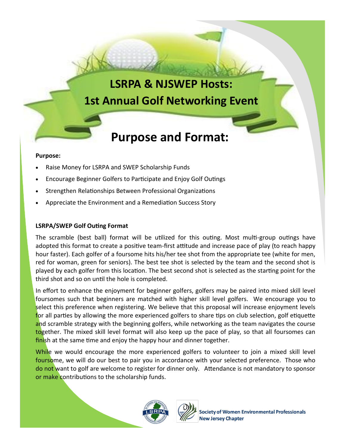### **LSRPA & NJSWEP Hosts: 1st Annual Golf Networking Event**

# **Purpose and Format:**

#### **Purpose:**

- Raise Money for LSRPA and SWEP Scholarship Funds
- Encourage Beginner Golfers to Participate and Enjoy Golf Outings
- Strengthen Relationships Between Professional Organizations
- Appreciate the Environment and a Remediation Success Story

#### **LSRPA/SWEP Golf Outing Format**

The scramble (best ball) format will be utilized for this outing. Most multi-group outings have adopted this format to create a positive team-first attitude and increase pace of play (to reach happy hour faster). Each golfer of a foursome hits his/her tee shot from the appropriate tee (white for men, red for woman, green for seniors). The best tee shot is selected by the team and the second shot is played by each golfer from this location. The best second shot is selected as the starting point for the third shot and so on until the hole is completed.

In effort to enhance the enjoyment for beginner golfers, golfers may be paired into mixed skill level foursomes such that beginners are matched with higher skill level golfers. We encourage you to select this preference when registering. We believe that this proposal will increase enjoyment levels for all parties by allowing the more experienced golfers to share tips on club selection, golf etiquette and scramble strategy with the beginning golfers, while networking as the team navigates the course together. The mixed skill level format will also keep up the pace of play, so that all foursomes can finish at the same time and enjoy the happy hour and dinner together.

While we would encourage the more experienced golfers to volunteer to join a mixed skill level foursome, we will do our best to pair you in accordance with your selected preference. Those who do not want to golf are welcome to register for dinner only. Attendance is not mandatory to sponsor or make contributions to the scholarship funds.





**Society of Women Environmental Professionals New Jersey Chapter**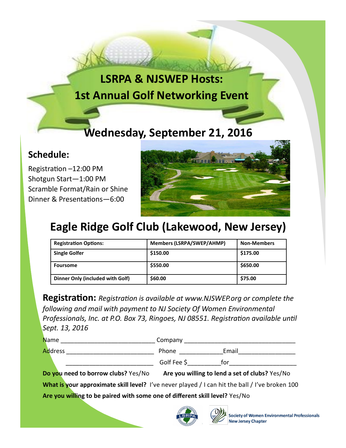# **LSRPA & NJSWEP Hosts: 1st Annual Golf Networking Event**

## **Wednesday, September 21, 2016**

#### **Schedule:**

Registration –12:00 PM Shotgun Start—1:00 PM Scramble Format/Rain or Shine Dinner & Presentations—6:00



### **Eagle Ridge Golf Club (Lakewood, New Jersey)**

| <b>Registration Options:</b>     | <b>Members (LSRPA/SWEP/AHMP)</b> | <b>Non-Members</b> |
|----------------------------------|----------------------------------|--------------------|
| <b>Single Golfer</b>             | \$150.00                         | \$175.00           |
| <b>Foursome</b>                  | \$550.00                         | \$650.00           |
| Dinner Only (included with Golf) | \$60.00                          | \$75.00            |

**Registration:** *Registration is available at www.NJSWEP.org or complete the following and mail with payment to NJ Society Of Women Environmental Professionals, Inc. at P.O. Box 73, Ringoes, NJ 08551. Registration available until Sept. 13, 2016* 

| <b>Name</b> | Company     |       |
|-------------|-------------|-------|
| Address     | Phone       | Email |
|             | Golf Fee \$ | tor   |

**Do you need to borrow clubs?** Yes/No **Are you willing to lend a set of clubs?** Yes/No

What is your approximate skill level? I've never played / I can hit the ball / I've broken 100

**Are you willing to be paired with some one of different skill level?** Yes/No